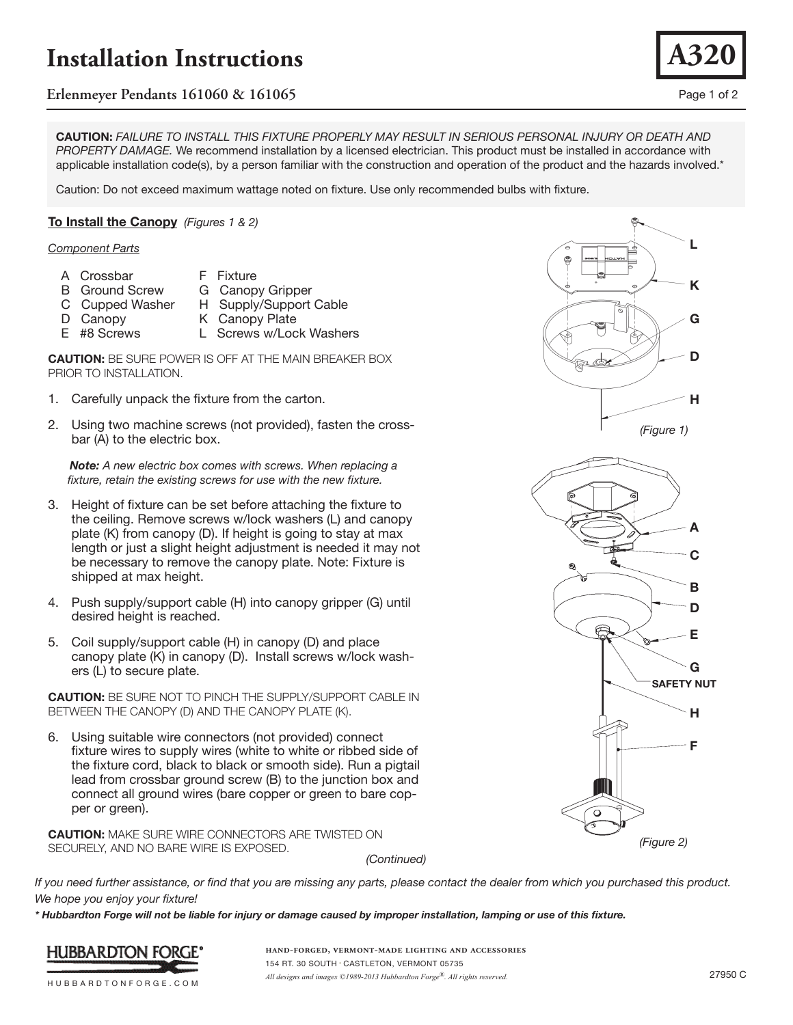# **Installation Instructions**

# **Erlenmeyer Pendants 161060 & 161065** Page 1 of 2

**CAUTION:** *FAILURE TO INSTALL THIS FIXTURE PROPERLY MAY RESULT IN SERIOUS PERSONAL INJURY OR DEATH AND PROPERTY DAMAGE.* We recommend installation by a licensed electrician. This product must be installed in accordance with applicable installation code(s), by a person familiar with the construction and operation of the product and the hazards involved.\*

Caution: Do not exceed maximum wattage noted on fixture. Use only recommended bulbs with fixture.

## **To Install the Canopy** *(Figures 1 & 2)*

### *Component Parts*

- A Crossbar
- F Fixture G Canopy Gripper
- B Ground Screw C Cupped Washer
	- H Supply/Support Cable
- D Canopy E #8 Screws
- K Canopy Plate L Screws w/Lock Washers



- 1. Carefully unpack the fixture from the carton.
- 2. Using two machine screws (not provided), fasten the crossbar (A) to the electric box.

 *Note: A new electric box comes with screws. When replacing a fixture, retain the existing screws for use with the new fixture.*

- 3. Height of fixture can be set before attaching the fixture to the ceiling. Remove screws w/lock washers (L) and canopy plate (K) from canopy (D). If height is going to stay at max length or just a slight height adjustment is needed it may not be necessary to remove the canopy plate. Note: Fixture is shipped at max height.
- 4. Push supply/support cable (H) into canopy gripper (G) until desired height is reached.
- 5. Coil supply/support cable (H) in canopy (D) and place canopy plate (K) in canopy (D). Install screws w/lock washers (L) to secure plate.

**CAUTION:** BE SURE NOT TO PINCH THE SUPPLY/SUPPORT CABLE IN BETWEEN THE CANOPY (D) AND THE CANOPY PLATE (K).

6. Using suitable wire connectors (not provided) connect fixture wires to supply wires (white to white or ribbed side of the fixture cord, black to black or smooth side). Run a pigtail lead from crossbar ground screw (B) to the junction box and connect all ground wires (bare copper or green to bare copper or green).

**CAUTION:** MAKE SURE WIRE CONNECTORS ARE TWISTED ON SECURELY, AND NO BARE WIRE IS EXPOSED.

*(Continued)*



*\* Hubbardton Forge will not be liable for injury or damage caused by improper installation, lamping or use of this fixture.*



**hand-forged, vermont-made lighting and accessories** 154 RT. 30 SOUTH • CASTLETON, VERMONT 05735 *All designs and images ©1989-2013 Hubbardton Forge®. All rights reserved.* 27950 C





**A320**